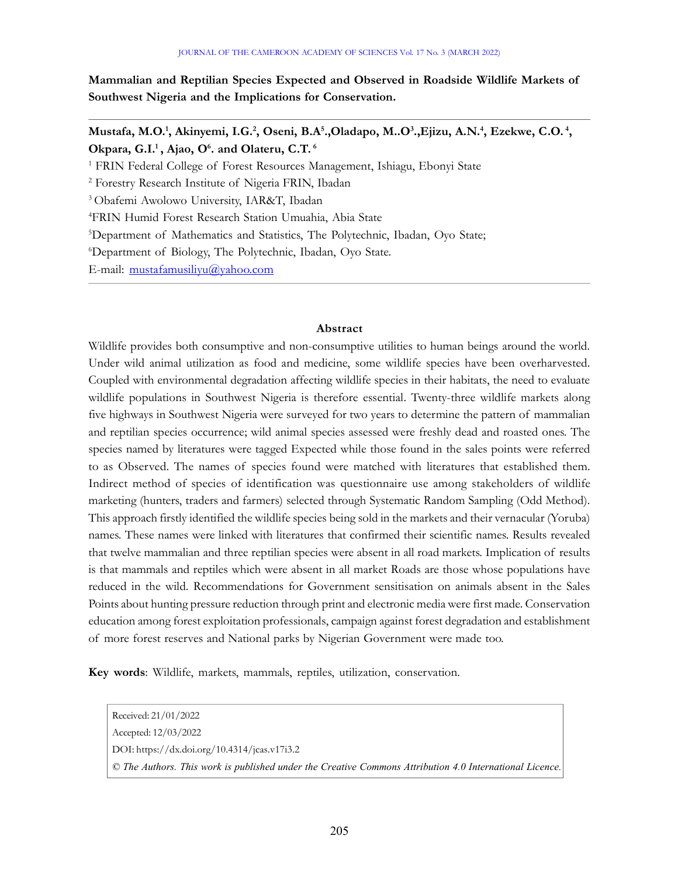Mammalian and Reptilian Species Expected and Observed in Roadside Wildlife Markets of Southwest Nigeria and the Implications for Conservation.

Mustafa, M.O.<sup>1</sup>, Akinyemi, I.G.<sup>2</sup>, Oseni, B.A<sup>5</sup>.,Oladapo, M..O<sup>3</sup>.,Ejizu, A.N.<sup>4</sup>, Ezekwe, C.O.<sup>4</sup>, Okpara, G.I.<sup>1</sup>, Ajao, O<sup>6</sup>. and Olateru, C.T.<sup>6</sup>

<sup>1</sup> FRIN Federal College of Forest Resources Management, Ishiagu, Ebonyi State

2 Forestry Research Institute of Nigeria FRIN, Ibadan

<sup>3</sup>Obafemi Awolowo University, IAR&T, Ibadan

<sup>4</sup>FRIN Humid Forest Research Station Umuahia, Abia State

<sup>5</sup>Department of Mathematics and Statistics, The Polytechnic, Ibadan, Oyo State;

<sup>6</sup>Department of Biology, The Polytechnic, Ibadan, Oyo State.

E-mail: mustafamusiliyu@yahoo.com

## Abstract

Wildlife provides both consumptive and non-consumptive utilities to human beings around the world. Under wild animal utilization as food and medicine, some wildlife species have been overharvested. Coupled with environmental degradation affecting wildlife species in their habitats, the need to evaluate wildlife populations in Southwest Nigeria is therefore essential. Twenty-three wildlife markets along five highways in Southwest Nigeria were surveyed for two years to determine the pattern of mammalian and reptilian species occurrence; wild animal species assessed were freshly dead and roasted ones. The species named by literatures were tagged Expected while those found in the sales points were referred to as Observed. The names of species found were matched with literatures that established them. Indirect method of species of identification was questionnaire use among stakeholders of wildlife marketing (hunters, traders and farmers) selected through Systematic Random Sampling (Odd Method). This approach firstly identified the wildlife species being sold in the markets and their vernacular (Yoruba) names. These names were linked with literatures that confirmed their scientific names. Results revealed that twelve mammalian and three reptilian species were absent in all road markets. Implication of results is that mammals and reptiles which were absent in all market Roads are those whose populations have reduced in the wild. Recommendations for Government sensitisation on animals absent in the Sales Points about hunting pressure reduction through print and electronic media were first made. Conservation education among forest exploitation professionals, campaign against forest degradation and establishment of more forest reserves and National parks by Nigerian Government were made too.

Key words: Wildlife, markets, mammals, reptiles, utilization, conservation.

Received: 21/01/2022 Accepted: 12/03/2022 DOI: https://dx.doi.org/10.4314/jcas.v17i3.2 © The Authors. This work is published under the Creative Commons Attribution 4.0 International Licence.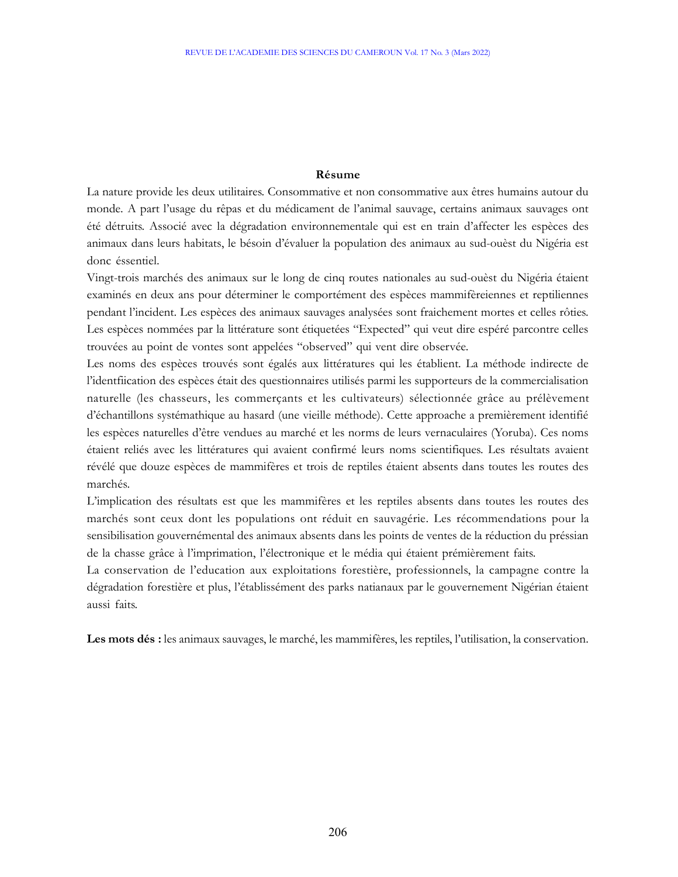# Résume

La nature provide les deux utilitaires. Consommative et non consommative aux êtres humains autour du monde. A part l'usage du rêpas et du médicament de l'animal sauvage, certains animaux sauvages ont été détruits. Associé avec la dégradation environnementale qui est en train d'affecter les espèces des animaux dans leurs habitats, le bésoin d'évaluer la population des animaux au sud-ouèst du Nigéria est donc éssentiel.

Vingt-trois marchés des animaux sur le long de cinq routes nationales au sud-ouèst du Nigéria étaient examinés en deux ans pour déterminer le comportément des espèces mammifèreiennes et reptiliennes pendant l'incident. Les espèces des animaux sauvages analysées sont fraichement mortes et celles rôties. Les espèces nommées par la littérature sont étiquetées "Expected" qui veut dire espéré parcontre celles trouvées au point de vontes sont appelées "observed" qui vent dire observée.

Les noms des espèces trouvés sont égalés aux littératures qui les établient. La méthode indirecte de l'identfiication des espèces était des questionnaires utilisés parmi les supporteurs de la commercialisation naturelle (les chasseurs, les commerçants et les cultivateurs) sélectionnée grâce au prélèvement d'échantillons systémathique au hasard (une vieille méthode). Cette approache a premièrement identifié les espèces naturelles d'être vendues au marché et les norms de leurs vernaculaires (Yoruba). Ces noms étaient reliés avec les littératures qui avaient confirmé leurs noms scientifiques. Les résultats avaient révélé que douze espèces de mammifères et trois de reptiles étaient absents dans toutes les routes des marchés.

L'implication des résultats est que les mammifères et les reptiles absents dans toutes les routes des marchés sont ceux dont les populations ont réduit en sauvagérie. Les récommendations pour la sensibilisation gouvernémental des animaux absents dans les points de ventes de la réduction du préssian de la chasse grâce à l'imprimation, l'électronique et le média qui étaient prémièrement faits.

La conservation de l'education aux exploitations forestière, professionnels, la campagne contre la dégradation forestière et plus, l'établissément des parks natianaux par le gouvernement Nigérian étaient aussi faits.

Les mots dés : les animaux sauvages, le marché, les mammifères, les reptiles, l'utilisation, la conservation.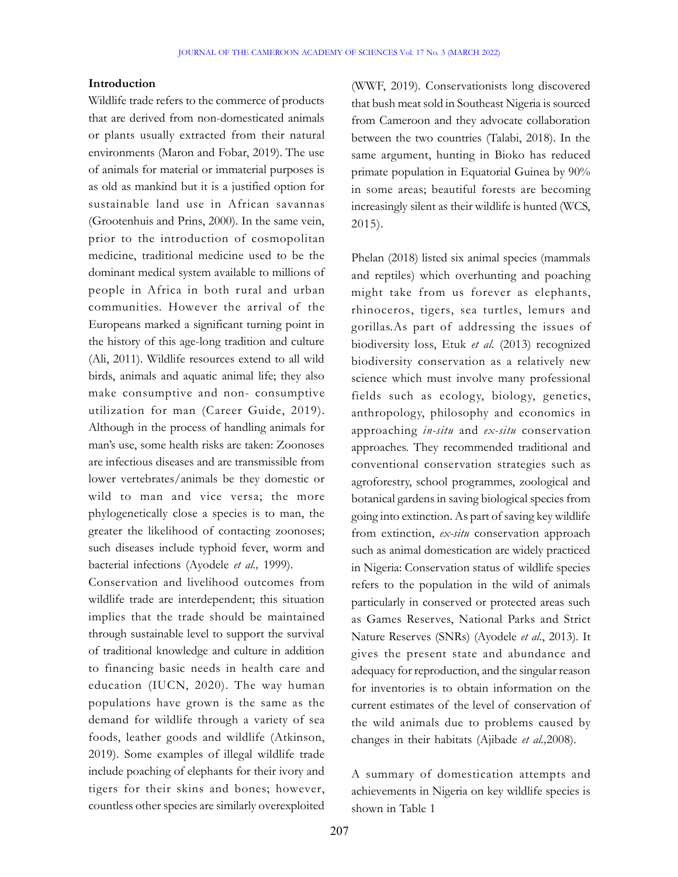## Introduction

Wildlife trade refers to the commerce of products that are derived from non-domesticated animals or plants usually extracted from their natural environments (Maron and Fobar, 2019). The use of animals for material or immaterial purposes is as old as mankind but it is a justified option for sustainable land use in African savannas (Grootenhuis and Prins, 2000). In the same vein, prior to the introduction of cosmopolitan medicine, traditional medicine used to be the dominant medical system available to millions of people in Africa in both rural and urban communities. However the arrival of the Europeans marked a significant turning point in the history of this age-long tradition and culture (Ali, 2011). Wildlife resources extend to all wild birds, animals and aquatic animal life; they also make consumptive and non- consumptive utilization for man (Career Guide, 2019). Although in the process of handling animals for man's use, some health risks are taken: Zoonoses are infectious diseases and are transmissible from lower vertebrates/animals be they domestic or wild to man and vice versa; the more phylogenetically close a species is to man, the greater the likelihood of contacting zoonoses; such diseases include typhoid fever, worm and bacterial infections (Ayodele et al., 1999).

Conservation and livelihood outcomes from wildlife trade are interdependent; this situation implies that the trade should be maintained through sustainable level to support the survival of traditional knowledge and culture in addition to financing basic needs in health care and education (IUCN, 2020). The way human populations have grown is the same as the demand for wildlife through a variety of sea foods, leather goods and wildlife (Atkinson, 2019). Some examples of illegal wildlife trade include poaching of elephants for their ivory and tigers for their skins and bones; however, countless other species are similarly overexploited

(WWF, 2019). Conservationists long discovered that bush meat sold in Southeast Nigeria is sourced from Cameroon and they advocate collaboration between the two countries (Talabi, 2018). In the same argument, hunting in Bioko has reduced primate population in Equatorial Guinea by 90% in some areas; beautiful forests are becoming increasingly silent as their wildlife is hunted (WCS, 2015).

Phelan (2018) listed six animal species (mammals and reptiles) which overhunting and poaching might take from us forever as elephants, rhinoceros, tigers, sea turtles, lemurs and gorillas.As part of addressing the issues of biodiversity loss, Etuk et al. (2013) recognized biodiversity conservation as a relatively new science which must involve many professional fields such as ecology, biology, genetics, anthropology, philosophy and economics in approaching in-situ and ex-situ conservation approaches. They recommended traditional and conventional conservation strategies such as agroforestry, school programmes, zoological and botanical gardens in saving biological species from going into extinction. As part of saving key wildlife from extinction, ex-situ conservation approach such as animal domestication are widely practiced in Nigeria: Conservation status of wildlife species refers to the population in the wild of animals particularly in conserved or protected areas such as Games Reserves, National Parks and Strict Nature Reserves (SNRs) (Ayodele et al., 2013). It gives the present state and abundance and adequacy for reproduction, and the singular reason for inventories is to obtain information on the current estimates of the level of conservation of the wild animals due to problems caused by changes in their habitats (Ajibade et al.,2008).

A summary of domestication attempts and achievements in Nigeria on key wildlife species is shown in Table 1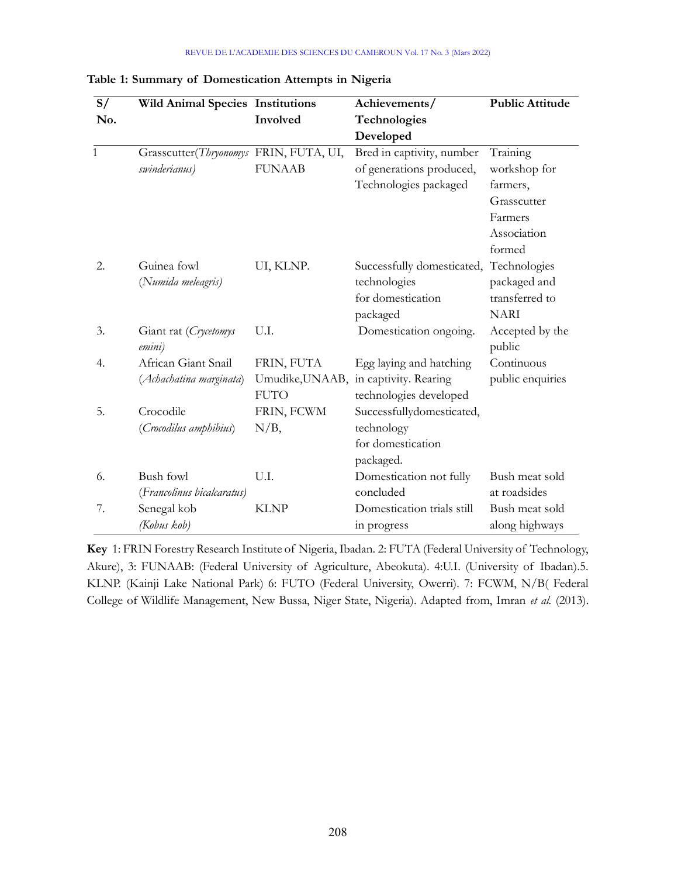#### REVUE DE L'ACADEMIE DES SCIENCES DU CAMEROUN Vol. 17 No. 3 (Mars 2022)

| S/<br><b>Wild Animal Species Institutions</b> |                                        |               | Achievements/                         | <b>Public Attitude</b> |  |
|-----------------------------------------------|----------------------------------------|---------------|---------------------------------------|------------------------|--|
| No.                                           |                                        | Involved      | Technologies                          |                        |  |
|                                               |                                        |               | Developed                             |                        |  |
| 1                                             | Grasscutter(Thryonomys FRIN, FUTA, UI, |               | Bred in captivity, number             | Training               |  |
|                                               | swinderianus)                          | <b>FUNAAB</b> | of generations produced,              | workshop for           |  |
|                                               |                                        |               | Technologies packaged                 | farmers,               |  |
|                                               |                                        |               |                                       | Grasscutter            |  |
|                                               |                                        |               |                                       | Farmers                |  |
|                                               |                                        |               |                                       | Association            |  |
|                                               |                                        |               |                                       | formed                 |  |
| 2.                                            | Guinea fowl                            | UI, KLNP.     | Successfully domesticated,            | Technologies           |  |
|                                               | (Numida meleagris)                     |               | technologies                          | packaged and           |  |
|                                               |                                        |               | for domestication                     | transferred to         |  |
|                                               |                                        |               | packaged                              | <b>NARI</b>            |  |
| 3.                                            | Giant rat (Crycetomys                  | U.I.          | Domestication ongoing.                | Accepted by the        |  |
|                                               | emini)                                 |               |                                       | public                 |  |
| 4.                                            | African Giant Snail                    | FRIN, FUTA    | Egg laying and hatching               | Continuous             |  |
|                                               | (Achachatina marginata)                |               | Umudike, UNAAB, in captivity. Rearing | public enquiries       |  |
|                                               |                                        | <b>FUTO</b>   | technologies developed                |                        |  |
| 5.                                            | Crocodile                              | FRIN, FCWM    | Successfullydomesticated,             |                        |  |
|                                               | (Crocodilus amphibius)                 | $N/B$ ,       | technology                            |                        |  |
|                                               |                                        |               | for domestication                     |                        |  |
|                                               |                                        |               | packaged.                             |                        |  |
| 6.                                            | <b>Bush fowl</b>                       | U.I.          | Domestication not fully               | Bush meat sold         |  |
|                                               | (Francolinus bicalcaratus)             |               | concluded                             | at roadsides           |  |
| 7.                                            | Senegal kob                            | <b>KLNP</b>   | Domestication trials still            | Bush meat sold         |  |
|                                               | (Kobus kob)                            |               | in progress                           | along highways         |  |

### Table 1: Summary of Domestication Attempts in Nigeria

Key 1: FRIN Forestry Research Institute of Nigeria, Ibadan. 2: FUTA (Federal University of Technology, Akure), 3: FUNAAB: (Federal University of Agriculture, Abeokuta). 4:U.I. (University of Ibadan).5. KLNP. (Kainji Lake National Park) 6: FUTO (Federal University, Owerri). 7: FCWM, N/B( Federal College of Wildlife Management, New Bussa, Niger State, Nigeria). Adapted from, Imran et al. (2013).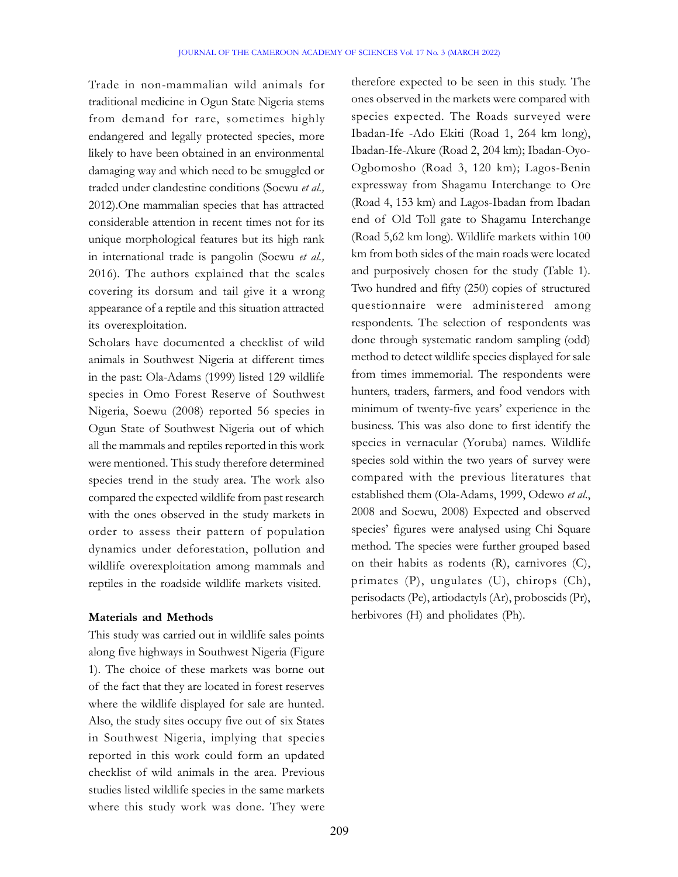Trade in non-mammalian wild animals for traditional medicine in Ogun State Nigeria stems from demand for rare, sometimes highly endangered and legally protected species, more likely to have been obtained in an environmental damaging way and which need to be smuggled or traded under clandestine conditions (Soewu et al., 2012).One mammalian species that has attracted considerable attention in recent times not for its unique morphological features but its high rank in international trade is pangolin (Soewu et al., 2016). The authors explained that the scales covering its dorsum and tail give it a wrong appearance of a reptile and this situation attracted its overexploitation.

Scholars have documented a checklist of wild animals in Southwest Nigeria at different times in the past: Ola-Adams (1999) listed 129 wildlife species in Omo Forest Reserve of Southwest Nigeria, Soewu (2008) reported 56 species in Ogun State of Southwest Nigeria out of which all the mammals and reptiles reported in this work were mentioned. This study therefore determined species trend in the study area. The work also compared the expected wildlife from past research with the ones observed in the study markets in order to assess their pattern of population dynamics under deforestation, pollution and wildlife overexploitation among mammals and reptiles in the roadside wildlife markets visited.

### Materials and Methods

This study was carried out in wildlife sales points along five highways in Southwest Nigeria (Figure 1). The choice of these markets was borne out of the fact that they are located in forest reserves where the wildlife displayed for sale are hunted. Also, the study sites occupy five out of six States in Southwest Nigeria, implying that species reported in this work could form an updated checklist of wild animals in the area. Previous studies listed wildlife species in the same markets where this study work was done. They were

therefore expected to be seen in this study. The ones observed in the markets were compared with species expected. The Roads surveyed were Ibadan-Ife -Ado Ekiti (Road 1, 264 km long), Ibadan-Ife-Akure (Road 2, 204 km); Ibadan-Oyo-Ogbomosho (Road 3, 120 km); Lagos-Benin expressway from Shagamu Interchange to Ore (Road 4, 153 km) and Lagos-Ibadan from Ibadan end of Old Toll gate to Shagamu Interchange (Road 5,62 km long). Wildlife markets within 100 km from both sides of the main roads were located and purposively chosen for the study (Table 1). Two hundred and fifty (250) copies of structured questionnaire were administered among respondents. The selection of respondents was done through systematic random sampling (odd) method to detect wildlife species displayed for sale from times immemorial. The respondents were hunters, traders, farmers, and food vendors with minimum of twenty-five years' experience in the business. This was also done to first identify the species in vernacular (Yoruba) names. Wildlife species sold within the two years of survey were compared with the previous literatures that established them (Ola-Adams, 1999, Odewo et al., 2008 and Soewu, 2008) Expected and observed species' figures were analysed using Chi Square method. The species were further grouped based on their habits as rodents (R), carnivores (C), primates (P), ungulates (U), chirops (Ch), perisodacts (Pe), artiodactyls (Ar), proboscids (Pr), herbivores (H) and pholidates (Ph).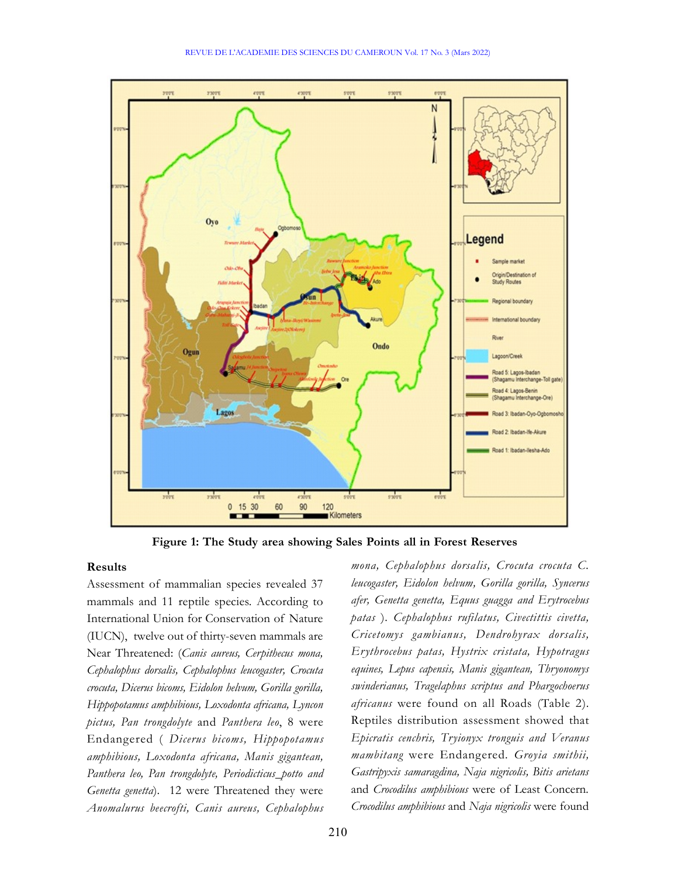

Figure 1: The Study area showing Sales Points all in Forest Reserves

## Results

Assessment of mammalian species revealed 37 mammals and 11 reptile species. According to International Union for Conservation of Nature (IUCN), twelve out of thirty-seven mammals are Near Threatened: (Canis aureus, Cerpithecus mona, Cephalophus dorsalis, Cephalophus leucogaster, Crocuta crocuta, Dicerus bicoms, Eidolon helvum, Gorilla gorilla, Hippopotamus amphibious, Loxodonta africana, Lyncon pictus, Pan trongdolyte and Panthera leo, 8 were Endangered ( Dicerus bicoms, Hippopotamus amphibious, Loxodonta africana, Manis gigantean, Panthera leo, Pan trongdolyte, Periodicticus\_potto and Genetta genetta). 12 were Threatened they were Anomalurus beecrofti, Canis aureus, Cephalophus mona, Cephalophus dorsalis, Crocuta crocuta C. leucogaster, Eidolon helvum, Gorilla gorilla, Syncerus afer, Genetta genetta, Equus guagga and Erytrocebus patas ). Cephalophus rufilatus, Civectittis civetta, Cricetomys gambianus, Dendrohyrax dorsalis, Erythrocebus patas, Hystrix cristata, Hypotragus equines, Lepus capensis, Manis gigantean, Thryonomys swinderianus, Tragelaphus scriptus and Phargochoerus africanus were found on all Roads (Table 2). Reptiles distribution assessment showed that Epicratis cenchris, Tryionyx tronguis and Veranus mambitang were Endangered. Groyia smithii, Gastripyxis samaragdina, Naja nigricolis, Bitis arietans and Crocodilus amphibious were of Least Concern. Crocodilus amphibious and Naja nigricolis were found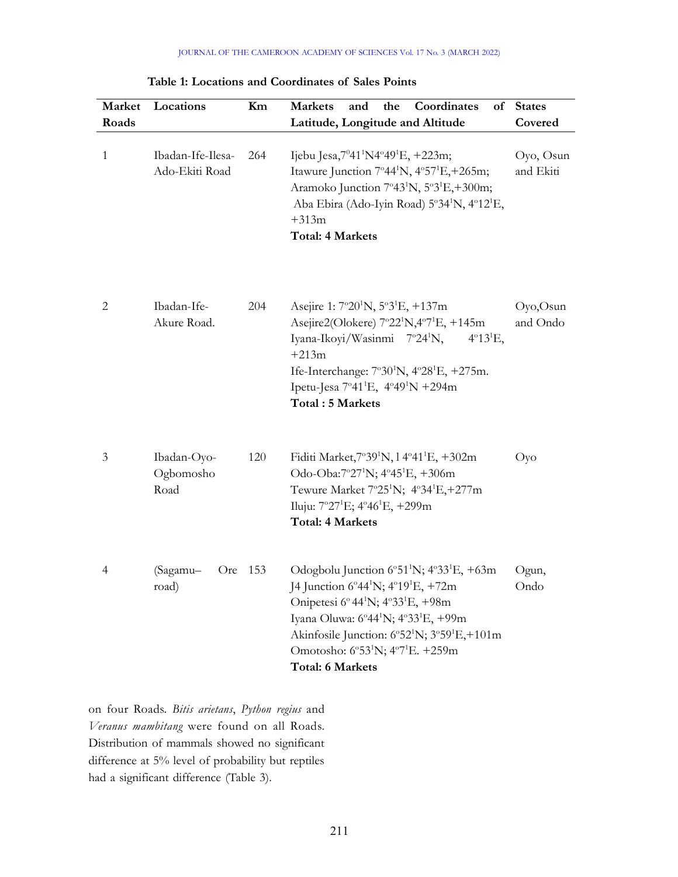| Market<br>Roads | Locations                           | Km      | Coordinates<br><b>Markets</b><br>and<br>the<br>Latitude, Longitude and Altitude                                                                                                                                                                                                                                                                                                                                                    | of States<br>Covered   |
|-----------------|-------------------------------------|---------|------------------------------------------------------------------------------------------------------------------------------------------------------------------------------------------------------------------------------------------------------------------------------------------------------------------------------------------------------------------------------------------------------------------------------------|------------------------|
| $\mathbf{1}$    | Ibadan-Ife-Ilesa-<br>Ado-Ekiti Road | 264     | Ijebu Jesa, 7°41'N4°49'E, +223m;<br>Itawure Junction 7°44 <sup>1</sup> N, 4°57 <sup>1</sup> E, +265m;<br>Aramoko Junction 7°43 <sup>1</sup> N, 5°3 <sup>1</sup> E,+300m;<br>Aba Ebira (Ado-Iyin Road) 5°34 <sup>1</sup> N, 4°12 <sup>1</sup> E,<br>$+313m$<br><b>Total: 4 Markets</b>                                                                                                                                              | Oyo, Osun<br>and Ekiti |
| $\overline{2}$  | Ibadan-Ife-<br>Akure Road.          | 204     | Asejire 1: 7°20 <sup>1</sup> N, 5°3 <sup>1</sup> E, +137m<br>Asejire2(Olokere) $7^{\circ}22^{\circ}N$ , $4^{\circ}7^{\circ}E$ , $+145m$<br>Iyana-Ikoyi/Wasinmi 7°24 <sup>1</sup> N,<br>$4^{\circ}13^1$ E,<br>$+213m$<br>Ife-Interchange: $7^{\circ}30^{\circ}$ N, $4^{\circ}28^{\circ}$ E, $+275$ m.<br>Ipetu-Jesa 7°41 <sup>1</sup> E, 4°49 <sup>1</sup> N +294m<br>Total: 5 Markets                                              | Oyo,Osun<br>and Ondo   |
| 3               | Ibadan-Oyo-<br>Ogbomosho<br>Road    | 120     | Fiditi Market, 7°39 <sup>1</sup> N, 14°41 <sup>1</sup> E, +302m<br>Odo-Oba:7°27 <sup>1</sup> N; $4^{\circ}45^{1}E$ , $+306m$<br>Tewure Market 7°25 <sup>1</sup> N; 4°34 <sup>1</sup> E,+277m<br>Iluju: $7^{\circ}27^{1}E$ ; $4^{\circ}46^{1}E$ , $+299m$<br><b>Total: 4 Markets</b>                                                                                                                                                | Оуо                    |
| 4               | (Sagamu-<br>road)                   | Ore 153 | Odogbolu Junction $6^{\circ}51^{\circ}$ N; $4^{\circ}33^{\circ}$ E, $+63$ m<br>J4 Junction 6°44 <sup>1</sup> N; 4°19 <sup>1</sup> E, +72m<br>Onipetesi 6°44 <sup>1</sup> N; 4°33 <sup>1</sup> E, +98m<br>Iyana Oluwa: 6°44 <sup>1</sup> N; 4°33 <sup>1</sup> E, +99m<br>Akinfosile Junction: 6°52 <sup>1</sup> N; 3°59 <sup>1</sup> E,+101m<br>Omotosho: 6°53 <sup>1</sup> N; 4°7 <sup>1</sup> E. +259m<br><b>Total: 6 Markets</b> | Ogun,<br>Ondo          |

Table 1: Locations and Coordinates of Sales Points

on four Roads. Bitis arietans, Python regius and Veranus mambitang were found on all Roads. Distribution of mammals showed no significant difference at 5% level of probability but reptiles had a significant difference (Table 3).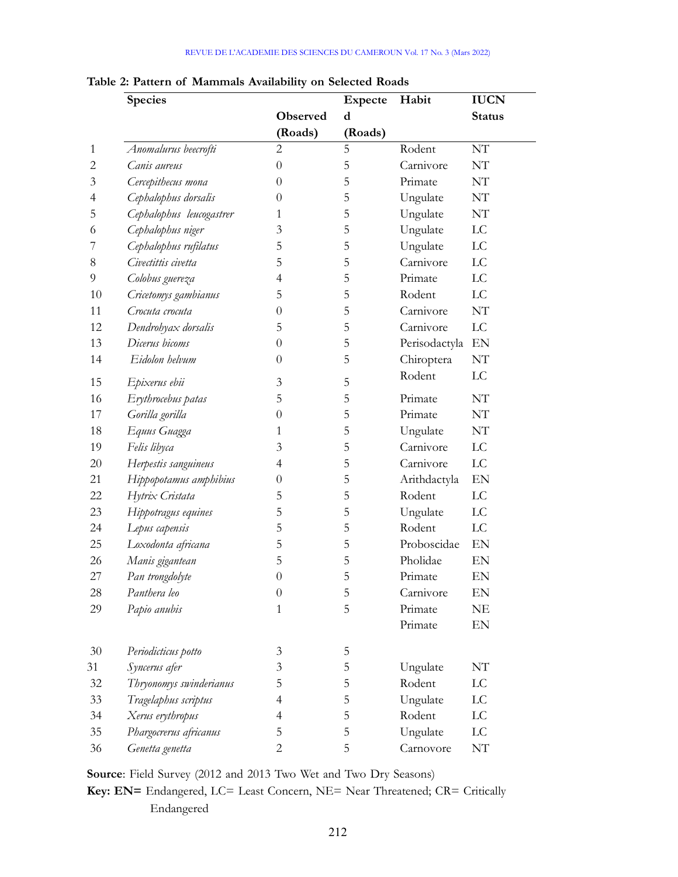### REVUE DE L'ACADEMIE DES SCIENCES DU CAMEROUN Vol. 17 No. 3 (Mars 2022)

|        | Species                  |                  | <b>Expecte</b> | Habit            | <b>IUCN</b>                |
|--------|--------------------------|------------------|----------------|------------------|----------------------------|
|        |                          | Observed         | d              |                  | <b>Status</b>              |
|        |                          | (Roads)          | (Roads)        |                  |                            |
| 1      | Anomalurus beecrofti     | $\overline{c}$   | 5              | Rodent           | NT                         |
| 2      | Canis aureus             | 0                | 5              | Carnivore        | NT                         |
| 3      | Cercepithecus mona       | $\boldsymbol{0}$ | 5              | Primate          | NT                         |
| 4      | Cephalophus dorsalis     | 0                | 5              | Ungulate         | NT                         |
| 5      | Cephalophus leucogastrer | 1                | 5              | Ungulate         | NT                         |
| 6      | Cephalophus niger        | 3                | 5              | Ungulate         | $\mathop{\rm LC}\nolimits$ |
|        | Cephalophus rufilatus    | 5                | 5              | Ungulate         | LC                         |
| 8      | Civectittis civetta      | 5                | 5              | Carnivore        | LC                         |
| 9      | Colobus guereza          | 4                | 5              | Primate          | LC                         |
| 10     | Cricetomys gambianus     | 5                | 5              | Rodent           | LC                         |
| 11     | Crocuta crocuta          | $\theta$         | 5              | Carnivore        | NT                         |
| 12     | Dendrohyax dorsalis      | 5                | 5              | Carnivore        | $\mathop{\rm LC}\nolimits$ |
| 13     | Dicerus bicoms           | $\theta$         | 5              | Perisodactyla EN |                            |
| 14     | Eidolon helvum           | $\theta$         | 5              | Chiroptera       | NT                         |
| 15     | Epixerus ebii            | 3                | 5              | Rodent           | LC                         |
| 16     | Erythrocebus patas       | 5                | 5              | Primate          | NT                         |
| 17     | Gorilla gorilla          | 0                | 5              | Primate          | NT                         |
| 18     | Equus Guagga             |                  | 5              | Ungulate         | NT                         |
| 19     | Felis libyca             | 3                | 5              | Carnivore        | LC                         |
| 20     | Herpestis sanguineus     | 4                | 5              | Carnivore        | LC                         |
| 21     | Hippopotamus amphibius   | $\boldsymbol{0}$ | 5              | Arithdactyla     | EN                         |
| 22     | Hytrix Cristata          | 5                | 5              | Rodent           | LC                         |
| 23     | Hippotragus equines      | 5                | 5              | Ungulate         | $_{\rm LC}$                |
| 24     | Lepus capensis           | 5                | 5              | Rodent           | LC                         |
| 25     | Loxodonta africana       | 5                | 5              | Proboscidae      | EN                         |
| 26     | Manis gigantean          | 5                | 5              | Pholidae         | EN                         |
| 27     | Pan trongdolyte          | $\overline{0}$   | 5              | Primate          | EN                         |
| $28\,$ | Panthera leo             | $\boldsymbol{0}$ | 5              | Carnivore        | EN                         |
| 29     | Papio anubis             | $\mathbf{1}$     | 5              | Primate          | NE                         |
|        |                          |                  |                | Primate          | EN                         |
| 30     | Periodicticus potto      | 3                | 5              |                  |                            |
| 31     | Syncerus afer            | 3                | 5              | Ungulate         | NT                         |
| 32     | Thryonomys swinderianus  | 5                | 5              | Rodent           | $_{\rm LC}$                |
| 33     | Tragelaphus scriptus     | 4                | 5              | Ungulate         | ${\rm LC}$                 |
| 34     | Xerus erythropus         | 4                | 5              | Rodent           | ${\rm LC}$                 |
| 35     | Phargocrerus africanus   | 5                | 5              | Ungulate         | ${\rm LC}$                 |
| 36     | Genetta genetta          | $\overline{c}$   | 5              | Carnovore        | $\rm{NT}$                  |

Table 2: Pattern of Mammals Availability on Selected Roads

Source: Field Survey (2012 and 2013 Two Wet and Two Dry Seasons)

Key: EN= Endangered, LC= Least Concern, NE= Near Threatened; CR= Critically Endangered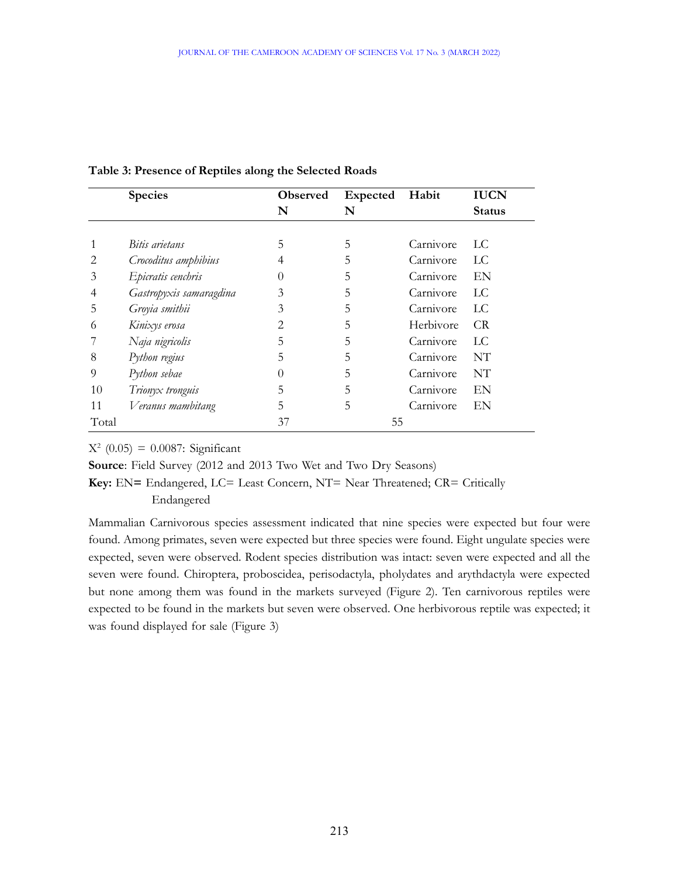|       | <b>Species</b>          | Observed | Expected | Habit     | <b>IUCN</b>   |
|-------|-------------------------|----------|----------|-----------|---------------|
|       |                         | N        | N        |           | <b>Status</b> |
|       |                         |          |          |           |               |
| 1     | Bitis arietans          | 5        | 5        | Carnivore | LC            |
| 2     | Crocoditus amphibius    | 4        | 5.       | Carnivore | LC.           |
| 3     | Epicratis cenchris      | $\theta$ | 5        | Carnivore | EN            |
| 4     | Gastropyxis samaragdina | 3        | 5        | Carnivore | LC.           |
| 5     | Groyia smithii          | 3        | 5        | Carnivore | LC            |
| 6     | Kinixys erosa           | 2        | 5        | Herbivore | CR            |
|       | Naja nigricolis         | 5        | 5        | Carnivore | LC            |
| 8     | Python regius           | 5        | 5        | Carnivore | NT            |
| 9     | Python sebae            | $\theta$ | 5        | Carnivore | NT            |
| 10    | Trionyx tronguis        | 5        | 5        | Carnivore | EN            |
| 11    | Veranus mambitang       | 5        | 5        | Carnivore | EN            |
| Total |                         | 37       |          | 55        |               |

### Table 3: Presence of Reptiles along the Selected Roads

 $X^2$  (0.05) = 0.0087: Significant

Source: Field Survey (2012 and 2013 Two Wet and Two Dry Seasons)

Key: EN= Endangered, LC= Least Concern, NT= Near Threatened; CR= Critically

Endangered

Mammalian Carnivorous species assessment indicated that nine species were expected but four were found. Among primates, seven were expected but three species were found. Eight ungulate species were expected, seven were observed. Rodent species distribution was intact: seven were expected and all the seven were found. Chiroptera, proboscidea, perisodactyla, pholydates and arythdactyla were expected but none among them was found in the markets surveyed (Figure 2). Ten carnivorous reptiles were expected to be found in the markets but seven were observed. One herbivorous reptile was expected; it was found displayed for sale (Figure 3)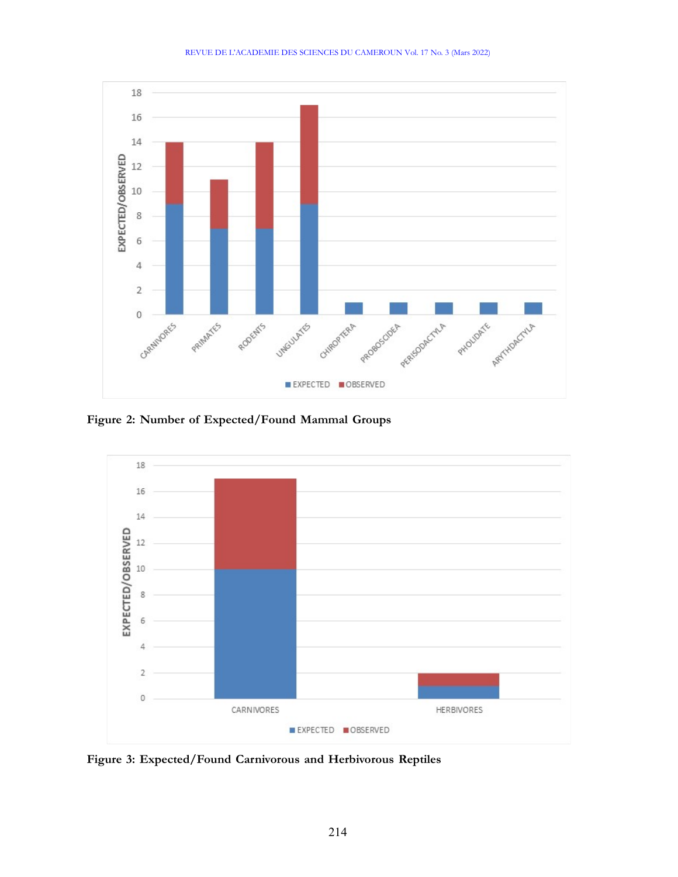

Figure 2: Number of Expected/Found Mammal Groups



Figure 3: Expected/Found Carnivorous and Herbivorous Reptiles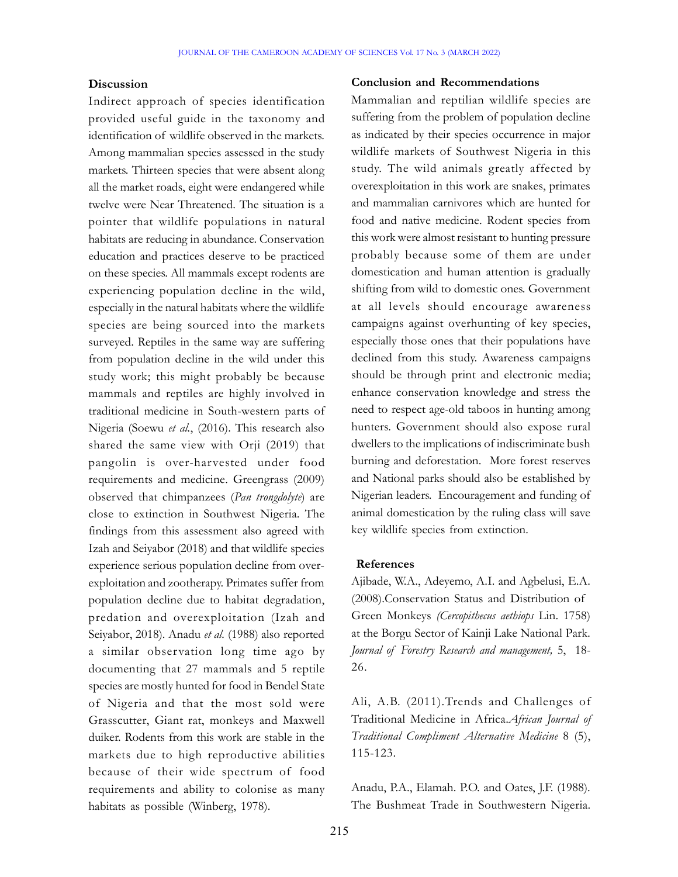## **Discussion**

Indirect approach of species identification provided useful guide in the taxonomy and identification of wildlife observed in the markets. Among mammalian species assessed in the study markets. Thirteen species that were absent along all the market roads, eight were endangered while twelve were Near Threatened. The situation is a pointer that wildlife populations in natural habitats are reducing in abundance. Conservation education and practices deserve to be practiced on these species. All mammals except rodents are experiencing population decline in the wild, especially in the natural habitats where the wildlife species are being sourced into the markets surveyed. Reptiles in the same way are suffering from population decline in the wild under this study work; this might probably be because mammals and reptiles are highly involved in traditional medicine in South-western parts of Nigeria (Soewu et al., (2016). This research also shared the same view with Orji (2019) that pangolin is over-harvested under food requirements and medicine. Greengrass (2009) observed that chimpanzees (Pan trongdolyte) are close to extinction in Southwest Nigeria. The findings from this assessment also agreed with Izah and Seiyabor (2018) and that wildlife species experience serious population decline from overexploitation and zootherapy. Primates suffer from population decline due to habitat degradation, predation and overexploitation (Izah and Seiyabor, 2018). Anadu et al. (1988) also reported a similar observation long time ago by documenting that 27 mammals and 5 reptile species are mostly hunted for food in Bendel State of Nigeria and that the most sold were Grasscutter, Giant rat, monkeys and Maxwell duiker. Rodents from this work are stable in the markets due to high reproductive abilities because of their wide spectrum of food requirements and ability to colonise as many habitats as possible (Winberg, 1978).

## Conclusion and Recommendations

Mammalian and reptilian wildlife species are suffering from the problem of population decline as indicated by their species occurrence in major wildlife markets of Southwest Nigeria in this study. The wild animals greatly affected by overexploitation in this work are snakes, primates and mammalian carnivores which are hunted for food and native medicine. Rodent species from this work were almost resistant to hunting pressure probably because some of them are under domestication and human attention is gradually shifting from wild to domestic ones. Government at all levels should encourage awareness campaigns against overhunting of key species, especially those ones that their populations have declined from this study. Awareness campaigns should be through print and electronic media; enhance conservation knowledge and stress the need to respect age-old taboos in hunting among hunters. Government should also expose rural dwellers to the implications of indiscriminate bush burning and deforestation. More forest reserves and National parks should also be established by Nigerian leaders. Encouragement and funding of animal domestication by the ruling class will save key wildlife species from extinction.

#### References

Ajibade, W.A., Adeyemo, A.I. and Agbelusi, E.A. (2008).Conservation Status and Distribution of Green Monkeys (Cercopithecus aethiops Lin. 1758) at the Borgu Sector of Kainji Lake National Park. Journal of Forestry Research and management, 5, 18- 26.

Ali, A.B. (2011).Trends and Challenges of Traditional Medicine in Africa.African Journal of Traditional Compliment Alternative Medicine 8 (5), 115-123.

Anadu, P.A., Elamah. P.O. and Oates, J.F. (1988). The Bushmeat Trade in Southwestern Nigeria.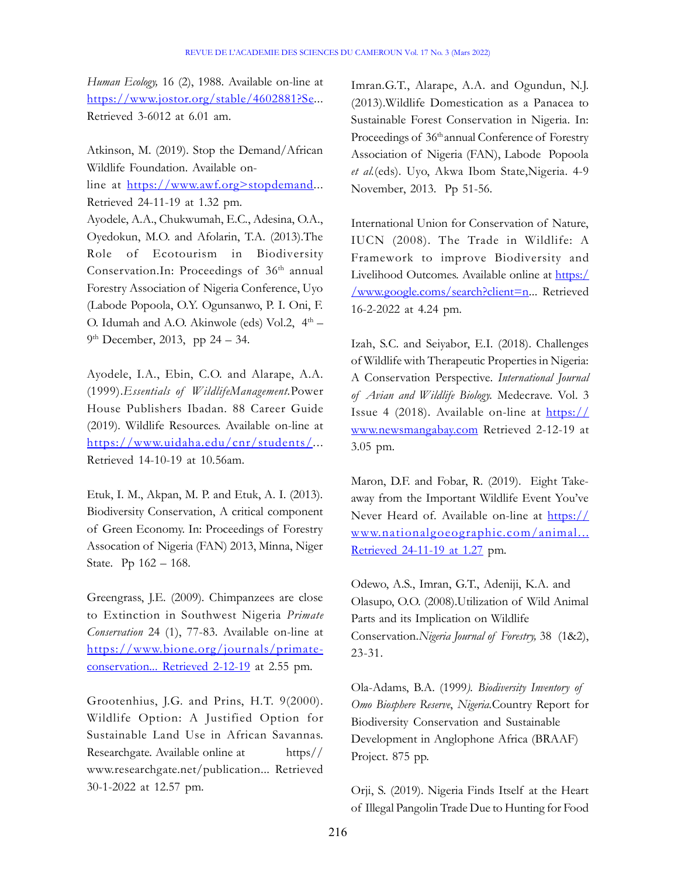Human Ecology, 16 (2), 1988. Available on-line at https://www.jostor.org/stable/4602881?Se... Retrieved 3-6012 at 6.01 am.

Atkinson, M. (2019). Stop the Demand/African Wildlife Foundation. Available online at https://www.awf.org>stopdemand... Retrieved 24-11-19 at 1.32 pm. Ayodele, A.A., Chukwumah, E.C., Adesina, O.A., Oyedokun, M.O. and Afolarin, T.A. (2013).The Role of Ecotourism in Biodiversity Conservation.In: Proceedings of 36<sup>th</sup> annual Forestry Association of Nigeria Conference, Uyo (Labode Popoola, O.Y. Ogunsanwo, P. I. Oni, F. O. Idumah and A.O. Akinwole (eds) Vol.2,  $4<sup>th</sup>$  – 9<sup>th</sup> December, 2013, pp 24 – 34.

Ayodele, I.A., Ebin, C.O. and Alarape, A.A. (1999).Essentials of WildlifeManagement.Power House Publishers Ibadan. 88 Career Guide (2019). Wildlife Resources. Available on-line at https://www.uidaha.edu/cnr/students/... Retrieved 14-10-19 at 10.56am.

Etuk, I. M., Akpan, M. P. and Etuk, A. I. (2013). Biodiversity Conservation, A critical component of Green Economy. In: Proceedings of Forestry Assocation of Nigeria (FAN) 2013, Minna, Niger State. Pp 162 – 168.

Greengrass, J.E. (2009). Chimpanzees are close to Extinction in Southwest Nigeria Primate Conservation 24 (1), 77-83. Available on-line at https://www.bione.org/journals/primateconservation... Retrieved 2-12-19 at 2.55 pm.

Grootenhius, J.G. and Prins, H.T. 9(2000). Wildlife Option: A Justified Option for Sustainable Land Use in African Savannas. Researchgate. Available online at https// www.researchgate.net/publication... Retrieved 30-1-2022 at 12.57 pm.

Imran.G.T., Alarape, A.A. and Ogundun, N.J. (2013).Wildlife Domestication as a Panacea to Sustainable Forest Conservation in Nigeria. In: Proceedings of 36<sup>th</sup> annual Conference of Forestry Association of Nigeria (FAN), Labode Popoola et al.(eds). Uyo, Akwa Ibom State, Nigeria. 4-9 November, 2013. Pp 51-56.

International Union for Conservation of Nature, IUCN (2008). The Trade in Wildlife: A Framework to improve Biodiversity and Livelihood Outcomes. Available online at https:/ /www.google.coms/search?client=n... Retrieved 16-2-2022 at 4.24 pm.

Izah, S.C. and Seiyabor, E.I. (2018). Challenges of Wildlife with Therapeutic Properties in Nigeria: A Conservation Perspective. International Journal of Avian and Wildlife Biology. Medecrave. Vol. 3 Issue 4 (2018). Available on-line at  $\frac{https://}{https://}$ www.newsmangabay.com Retrieved 2-12-19 at 3.05 pm.

Maron, D.F. and Fobar, R. (2019). Eight Takeaway from the Important Wildlife Event You've Never Heard of. Available on-line at https:// www.nationalgoeographic.com/animal... Retrieved 24-11-19 at 1.27 pm.

Odewo, A.S., Imran, G.T., Adeniji, K.A. and Olasupo, O.O. (2008).Utilization of Wild Animal Parts and its Implication on Wildlife Conservation.Nigeria Journal of Forestry, 38 (1&2), 23-31.

Ola-Adams, B.A. (1999). Biodiversity Inventory of Omo Biosphere Reserve, Nigeria.Country Report for Biodiversity Conservation and Sustainable Development in Anglophone Africa (BRAAF) Project. 875 pp.

Orji, S. (2019). Nigeria Finds Itself at the Heart of Illegal Pangolin Trade Due to Hunting for Food